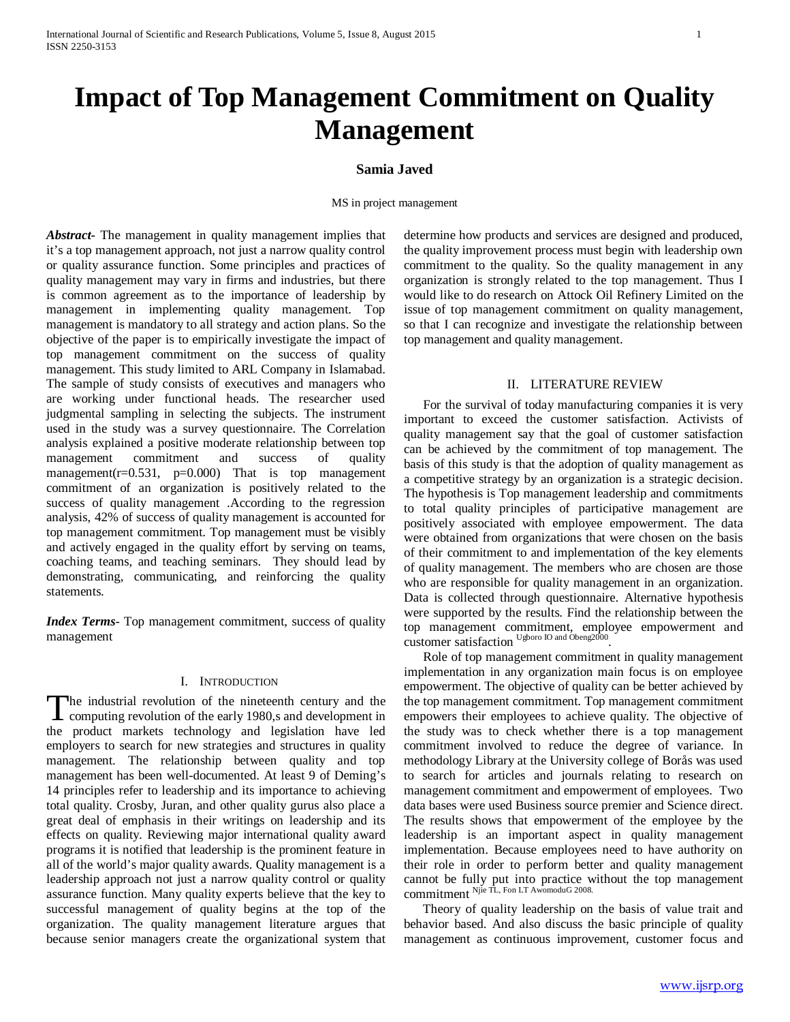# **Impact of Top Management Commitment on Quality Management**

# **Samia Javed**

MS in project management

*Abstract***-** The management in quality management implies that it's a top management approach, not just a narrow quality control or quality assurance function. Some principles and practices of quality management may vary in firms and industries, but there is common agreement as to the importance of leadership by management in implementing quality management. Top management is mandatory to all strategy and action plans. So the objective of the paper is to empirically investigate the impact of top management commitment on the success of quality management. This study limited to ARL Company in Islamabad. The sample of study consists of executives and managers who are working under functional heads. The researcher used judgmental sampling in selecting the subjects. The instrument used in the study was a survey questionnaire. The Correlation analysis explained a positive moderate relationship between top management commitment and success of quality management( $r=0.531$ ,  $p=0.000$ ) That is top management commitment of an organization is positively related to the success of quality management .According to the regression analysis, 42% of success of quality management is accounted for top management commitment. Top management must be visibly and actively engaged in the quality effort by serving on teams, coaching teams, and teaching seminars. They should lead by demonstrating, communicating, and reinforcing the quality statements.

*Index Terms*- Top management commitment, success of quality management

## I. INTRODUCTION

The industrial revolution of the nineteenth century and the The industrial revolution of the nineteenth century and the computing revolution of the early 1980,s and development in the product markets technology and legislation have led employers to search for new strategies and structures in quality management. The relationship between quality and top management has been well-documented. At least 9 of Deming's 14 principles refer to leadership and its importance to achieving total quality. Crosby, Juran, and other quality gurus also place a great deal of emphasis in their writings on leadership and its effects on quality. Reviewing major international quality award programs it is notified that leadership is the prominent feature in all of the world's major quality awards. Quality management is a leadership approach not just a narrow quality control or quality assurance function. Many quality experts believe that the key to successful management of quality begins at the top of the organization. The quality management literature argues that because senior managers create the organizational system that

determine how products and services are designed and produced, the quality improvement process must begin with leadership own commitment to the quality. So the quality management in any organization is strongly related to the top management. Thus I would like to do research on Attock Oil Refinery Limited on the issue of top management commitment on quality management, so that I can recognize and investigate the relationship between top management and quality management.

#### II. LITERATURE REVIEW

 For the survival of today manufacturing companies it is very important to exceed the customer satisfaction. Activists of quality management say that the goal of customer satisfaction can be achieved by the commitment of top management. The basis of this study is that the adoption of quality management as a competitive strategy by an organization is a strategic decision. The hypothesis is Top management leadership and commitments to total quality principles of participative management are positively associated with employee empowerment. The data were obtained from organizations that were chosen on the basis of their commitment to and implementation of the key elements of quality management. The members who are chosen are those who are responsible for quality management in an organization. Data is collected through questionnaire. Alternative hypothesis were supported by the results. Find the relationship between the top management commitment, employee empowerment and customer satisfaction Ugboro IO and Obeng2000.

 Role of top management commitment in quality management implementation in any organization main focus is on employee empowerment. The objective of quality can be better achieved by the top management commitment. Top management commitment empowers their employees to achieve quality. The objective of the study was to check whether there is a top management commitment involved to reduce the degree of variance. In methodology Library at the University college of Borås was used to search for articles and journals relating to research on management commitment and empowerment of employees. Two data bases were used Business source premier and Science direct. The results shows that empowerment of the employee by the leadership is an important aspect in quality management implementation. Because employees need to have authority on their role in order to perform better and quality management cannot be fully put into practice without the top management commitment Njie TL, Fon LT AwomoduG 2008.

 Theory of quality leadership on the basis of value trait and behavior based. And also discuss the basic principle of quality management as continuous improvement, customer focus and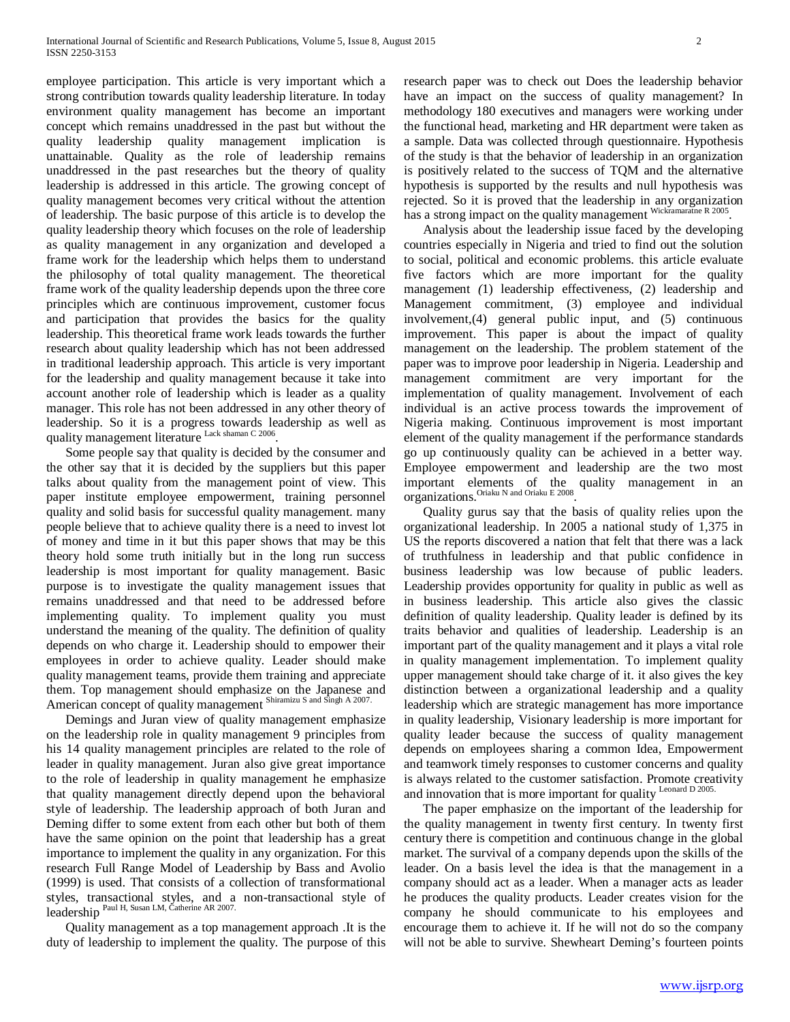employee participation. This article is very important which a strong contribution towards quality leadership literature. In today environment quality management has become an important concept which remains unaddressed in the past but without the quality leadership quality management implication is unattainable. Quality as the role of leadership remains unaddressed in the past researches but the theory of quality leadership is addressed in this article. The growing concept of quality management becomes very critical without the attention of leadership. The basic purpose of this article is to develop the quality leadership theory which focuses on the role of leadership as quality management in any organization and developed a frame work for the leadership which helps them to understand the philosophy of total quality management. The theoretical frame work of the quality leadership depends upon the three core principles which are continuous improvement, customer focus and participation that provides the basics for the quality leadership. This theoretical frame work leads towards the further research about quality leadership which has not been addressed in traditional leadership approach. This article is very important for the leadership and quality management because it take into account another role of leadership which is leader as a quality manager. This role has not been addressed in any other theory of leadership. So it is a progress towards leadership as well as quality management literature Lack shaman C 2006.

 Some people say that quality is decided by the consumer and the other say that it is decided by the suppliers but this paper talks about quality from the management point of view. This paper institute employee empowerment, training personnel quality and solid basis for successful quality management. many people believe that to achieve quality there is a need to invest lot of money and time in it but this paper shows that may be this theory hold some truth initially but in the long run success leadership is most important for quality management. Basic purpose is to investigate the quality management issues that remains unaddressed and that need to be addressed before implementing quality. To implement quality you must understand the meaning of the quality. The definition of quality depends on who charge it. Leadership should to empower their employees in order to achieve quality. Leader should make quality management teams, provide them training and appreciate them. Top management should emphasize on the Japanese and American concept of quality management Shiramizu S and Singh A 2007.

 Demings and Juran view of quality management emphasize on the leadership role in quality management 9 principles from his 14 quality management principles are related to the role of leader in quality management. Juran also give great importance to the role of leadership in quality management he emphasize that quality management directly depend upon the behavioral style of leadership. The leadership approach of both Juran and Deming differ to some extent from each other but both of them have the same opinion on the point that leadership has a great importance to implement the quality in any organization. For this research Full Range Model of Leadership by Bass and Avolio (1999) is used. That consists of a collection of transformational styles, transactional styles, and a non-transactional style of leadership Paul H, Susan LM, Catherine AR 2007.

 Quality management as a top management approach .It is the duty of leadership to implement the quality. The purpose of this research paper was to check out Does the leadership behavior have an impact on the success of quality management? In methodology 180 executives and managers were working under the functional head, marketing and HR department were taken as a sample. Data was collected through questionnaire. Hypothesis of the study is that the behavior of leadership in an organization is positively related to the success of TQM and the alternative hypothesis is supported by the results and null hypothesis was rejected. So it is proved that the leadership in any organization has a strong impact on the quality management Wickramaratne R 2005.

 Analysis about the leadership issue faced by the developing countries especially in Nigeria and tried to find out the solution to social, political and economic problems. this article evaluate five factors which are more important for the quality management *(*1) leadership effectiveness, (2) leadership and Management commitment, (3) employee and individual involvement,(4) general public input, and (5) continuous improvement. This paper is about the impact of quality management on the leadership. The problem statement of the paper was to improve poor leadership in Nigeria. Leadership and management commitment are very important for the implementation of quality management. Involvement of each individual is an active process towards the improvement of Nigeria making. Continuous improvement is most important element of the quality management if the performance standards go up continuously quality can be achieved in a better way. Employee empowerment and leadership are the two most important elements of the quality management in an organizations.Oriaku N and Oriaku E 2008.

 Quality gurus say that the basis of quality relies upon the organizational leadership. In 2005 a national study of 1,375 in US the reports discovered a nation that felt that there was a lack of truthfulness in leadership and that public confidence in business leadership was low because of public leaders. Leadership provides opportunity for quality in public as well as in business leadership. This article also gives the classic definition of quality leadership. Quality leader is defined by its traits behavior and qualities of leadership. Leadership is an important part of the quality management and it plays a vital role in quality management implementation. To implement quality upper management should take charge of it. it also gives the key distinction between a organizational leadership and a quality leadership which are strategic management has more importance in quality leadership, Visionary leadership is more important for quality leader because the success of quality management depends on employees sharing a common Idea, Empowerment and teamwork timely responses to customer concerns and quality is always related to the customer satisfaction. Promote creativity and innovation that is more important for quality Leonard D 2005.

 The paper emphasize on the important of the leadership for the quality management in twenty first century. In twenty first century there is competition and continuous change in the global market. The survival of a company depends upon the skills of the leader. On a basis level the idea is that the management in a company should act as a leader. When a manager acts as leader he produces the quality products. Leader creates vision for the company he should communicate to his employees and encourage them to achieve it. If he will not do so the company will not be able to survive. Shewheart Deming's fourteen points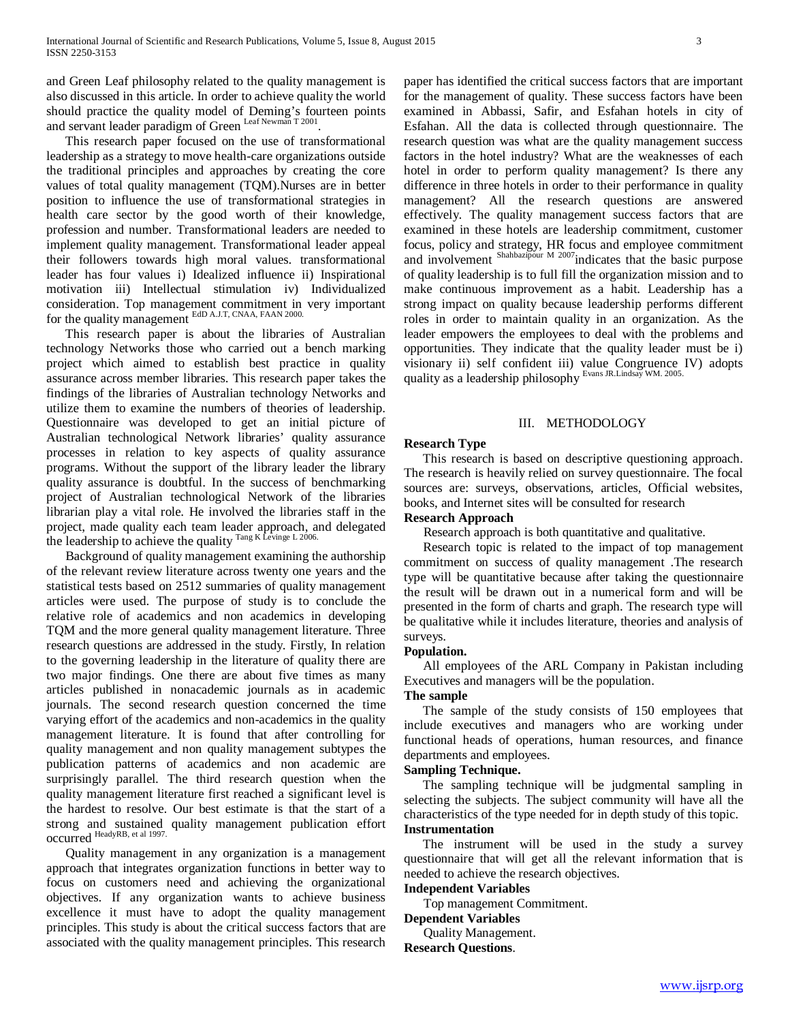and Green Leaf philosophy related to the quality management is also discussed in this article. In order to achieve quality the world should practice the quality model of Deming's fourteen points and servant leader paradigm of Green Leaf Newman T 2001.

 This research paper focused on the use of transformational leadership as a strategy to move health-care organizations outside the traditional principles and approaches by creating the core values of total quality management (TQM).Nurses are in better position to influence the use of transformational strategies in health care sector by the good worth of their knowledge, profession and number. Transformational leaders are needed to implement quality management. Transformational leader appeal their followers towards high moral values. transformational leader has four values i) Idealized influence ii) Inspirational motivation iii) Intellectual stimulation iv) Individualized consideration. Top management commitment in very important for the quality management EdD A.J.T, CNAA, FAAN 2000.

 This research paper is about the libraries of Australian technology Networks those who carried out a bench marking project which aimed to establish best practice in quality assurance across member libraries. This research paper takes the findings of the libraries of Australian technology Networks and utilize them to examine the numbers of theories of leadership. Questionnaire was developed to get an initial picture of Australian technological Network libraries' quality assurance processes in relation to key aspects of quality assurance programs. Without the support of the library leader the library quality assurance is doubtful. In the success of benchmarking project of Australian technological Network of the libraries librarian play a vital role. He involved the libraries staff in the project, made quality each team leader approach, and delegated the leadership to achieve the quality  $\frac{\text{Tag K} \text{Leving } L \text{ 2006}}{L}$ 

 Background of quality management examining the authorship of the relevant review literature across twenty one years and the statistical tests based on 2512 summaries of quality management articles were used. The purpose of study is to conclude the relative role of academics and non academics in developing TQM and the more general quality management literature. Three research questions are addressed in the study. Firstly, In relation to the governing leadership in the literature of quality there are two major findings. One there are about five times as many articles published in nonacademic journals as in academic journals. The second research question concerned the time varying effort of the academics and non-academics in the quality management literature. It is found that after controlling for quality management and non quality management subtypes the publication patterns of academics and non academic are surprisingly parallel. The third research question when the quality management literature first reached a significant level is the hardest to resolve. Our best estimate is that the start of a strong and sustained quality management publication effort occurred HeadyRB, et al 1997.

 Quality management in any organization is a management approach that integrates organization functions in better way to focus on customers need and achieving the organizational objectives. If any organization wants to achieve business excellence it must have to adopt the quality management principles. This study is about the critical success factors that are associated with the quality management principles. This research paper has identified the critical success factors that are important for the management of quality. These success factors have been examined in Abbassi, Safir, and Esfahan hotels in city of Esfahan. All the data is collected through questionnaire. The research question was what are the quality management success factors in the hotel industry? What are the weaknesses of each hotel in order to perform quality management? Is there any difference in three hotels in order to their performance in quality management? All the research questions are answered effectively. The quality management success factors that are examined in these hotels are leadership commitment, customer focus, policy and strategy, HR focus and employee commitment and involvement Shahbazipour M 2007 indicates that the basic purpose of quality leadership is to full fill the organization mission and to make continuous improvement as a habit. Leadership has a strong impact on quality because leadership performs different roles in order to maintain quality in an organization. As the leader empowers the employees to deal with the problems and opportunities. They indicate that the quality leader must be i) visionary ii) self confident iii) value Congruence IV) adopts quality as a leadership philosophy Evans JR.Lindsay WM. 2005.

## III. METHODOLOGY

## **Research Type**

 This research is based on descriptive questioning approach. The research is heavily relied on survey questionnaire. The focal sources are: surveys, observations, articles, Official websites, books, and Internet sites will be consulted for research

## **Research Approach**

Research approach is both quantitative and qualitative.

 Research topic is related to the impact of top management commitment on success of quality management .The research type will be quantitative because after taking the questionnaire the result will be drawn out in a numerical form and will be presented in the form of charts and graph. The research type will be qualitative while it includes literature, theories and analysis of surveys.

#### **Population.**

 All employees of the ARL Company in Pakistan including Executives and managers will be the population.

#### **The sample**

 The sample of the study consists of 150 employees that include executives and managers who are working under functional heads of operations, human resources, and finance departments and employees.

## **Sampling Technique.**

 The sampling technique will be judgmental sampling in selecting the subjects. The subject community will have all the characteristics of the type needed for in depth study of this topic. **Instrumentation**

 The instrument will be used in the study a survey questionnaire that will get all the relevant information that is needed to achieve the research objectives.

#### **Independent Variables**

Top management Commitment.

#### **Dependent Variables**

Quality Management.

**Research Questions**.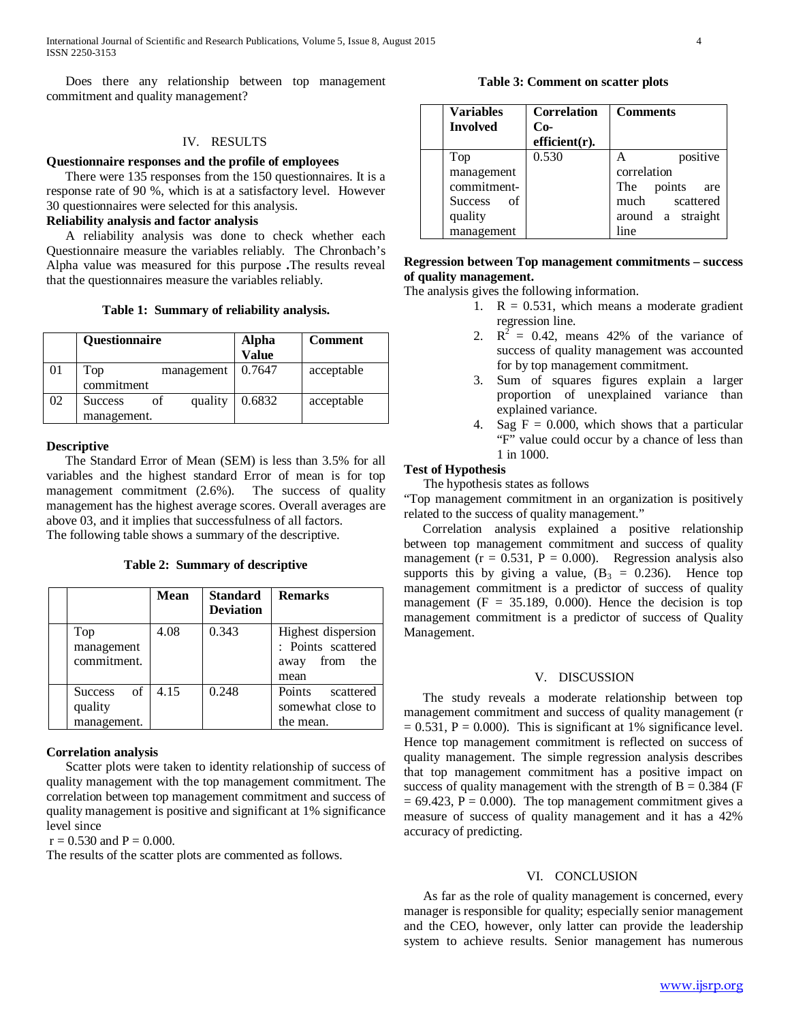Does there any relationship between top management commitment and quality management?

# IV. RESULTS

# **Questionnaire responses and the profile of employees**

 There were 135 responses from the 150 questionnaires. It is a response rate of 90 %, which is at a satisfactory level. However 30 questionnaires were selected for this analysis.

# **Reliability analysis and factor analysis**

 A reliability analysis was done to check whether each Questionnaire measure the variables reliably. The Chronbach's Alpha value was measured for this purpose **.**The results reveal that the questionnaires measure the variables reliably.

**Table 1: Summary of reliability analysis.**

|    | Questionnaire                                  | <b>Alpha</b><br>Value | <b>Comment</b> |
|----|------------------------------------------------|-----------------------|----------------|
|    | Top<br>management<br>commitment                | 0.7647                | acceptable     |
| 02 | quality<br>of<br><b>Success</b><br>management. | 0.6832                | acceptable     |

#### **Descriptive**

 The Standard Error of Mean (SEM) is less than 3.5% for all variables and the highest standard Error of mean is for top management commitment (2.6%). The success of quality management has the highest average scores. Overall averages are above 03, and it implies that successfulness of all factors. The following table shows a summary of the descriptive.

**Table 2: Summary of descriptive**

|                      | <b>Mean</b> | <b>Standard</b><br><b>Deviation</b> | <b>Remarks</b>      |
|----------------------|-------------|-------------------------------------|---------------------|
| Top                  | 4.08        | 0.343                               | Highest dispersion  |
| management           |             |                                     | : Points scattered  |
| commitment.          |             |                                     | from<br>the<br>away |
|                      |             |                                     | mean                |
| of<br><b>Success</b> | 4.15        | 0.248                               | Points<br>scattered |
| quality              |             |                                     | somewhat close to   |
| management.          |             |                                     | the mean.           |

#### **Correlation analysis**

 Scatter plots were taken to identity relationship of success of quality management with the top management commitment. The correlation between top management commitment and success of quality management is positive and significant at 1% significance level since

 $r = 0.530$  and  $P = 0.000$ .

The results of the scatter plots are commented as follows.

**Table 3: Comment on scatter plots**

| <b>Variables</b><br><b>Involved</b> | <b>Correlation</b><br>$Co-$<br>$efficient(r)$ . | <b>Comments</b>   |
|-------------------------------------|-------------------------------------------------|-------------------|
| Top                                 | 0.530                                           | positive          |
| management                          |                                                 | correlation       |
| commitment-                         |                                                 | The points<br>are |
| Success of                          |                                                 | much scattered    |
| quality                             |                                                 | around a straight |
| management                          |                                                 | line              |

# **Regression between Top management commitments – success of quality management.**

The analysis gives the following information.

- 1.  $R = 0.531$ , which means a moderate gradient regression line.
- 2.  $R^2 = 0.42$ , means 42% of the variance of success of quality management was accounted for by top management commitment.
- 3. Sum of squares figures explain a larger proportion of unexplained variance than explained variance.
- 4. Sag  $F = 0.000$ , which shows that a particular "F" value could occur by a chance of less than 1 in 1000.

## **Test of Hypothesis**

The hypothesis states as follows

"Top management commitment in an organization is positively related to the success of quality management."

 Correlation analysis explained a positive relationship between top management commitment and success of quality management ( $r = 0.531$ ,  $P = 0.000$ ). Regression analysis also supports this by giving a value,  $(B_3 = 0.236)$ . Hence top management commitment is a predictor of success of quality management ( $F = 35.189, 0.000$ ). Hence the decision is top management commitment is a predictor of success of Quality Management.

#### V. DISCUSSION

 The study reveals a moderate relationship between top management commitment and success of quality management (r  $= 0.531$ ,  $P = 0.000$ ). This is significant at 1% significance level. Hence top management commitment is reflected on success of quality management. The simple regression analysis describes that top management commitment has a positive impact on success of quality management with the strength of  $B = 0.384$  (F  $= 69.423$ ,  $P = 0.000$ . The top management commitment gives a measure of success of quality management and it has a 42% accuracy of predicting.

#### VI. CONCLUSION

 As far as the role of quality management is concerned, every manager is responsible for quality; especially senior management and the CEO, however, only latter can provide the leadership system to achieve results. Senior management has numerous